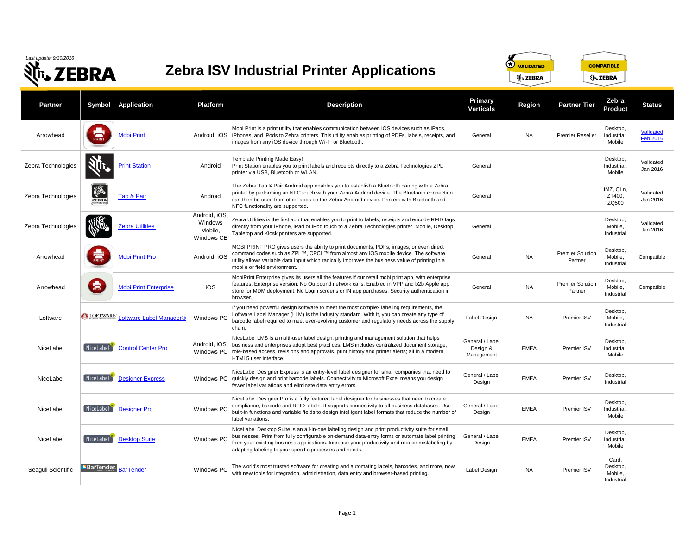| Last update: 9/30/2016<br>EBRA |                                    | <b>Zebra ISV Industrial Printer Applications</b> |                                                   |                                                                                                                                                                                                                                                                                                                                                                 | $\bigcirc$<br><b>VALIDATED</b><br><b>COMPATIBLE</b><br><b>並、ZEBRA</b><br>र् <sup>ह</sup> ि, ZEBRA |               |                                    |                                            |                              |
|--------------------------------|------------------------------------|--------------------------------------------------|---------------------------------------------------|-----------------------------------------------------------------------------------------------------------------------------------------------------------------------------------------------------------------------------------------------------------------------------------------------------------------------------------------------------------------|---------------------------------------------------------------------------------------------------|---------------|------------------------------------|--------------------------------------------|------------------------------|
| <b>Partner</b>                 | Symbol                             | <b>Application</b>                               | <b>Platform</b>                                   | <b>Description</b>                                                                                                                                                                                                                                                                                                                                              | <b>Primary</b><br><b>Verticals</b>                                                                | <b>Region</b> | <b>Partner Tier</b>                | Zebra<br><b>Product</b>                    | <b>Status</b>                |
| Arrowhead                      | PRINT                              | <b>Mobi Print</b>                                |                                                   | Mobi Print is a print utility that enables communication between iOS devices such as iPads,<br>Android, iOS iPhones, and iPods to Zebra printers. This utility enables printing of PDFs, labels, receipts, and<br>images from any iOS device through Wi-Fi or Bluetooth.                                                                                        | General                                                                                           | NA            | <b>Premier Reseller</b>            | Desktop,<br>Industrial,<br>Mobile          | Validated<br><b>Feb 2016</b> |
| Zebra Technologies             |                                    | <b>Print Station</b>                             | Android                                           | Template Printing Made Easy!<br>Print Station enables you to print labels and receipts directly to a Zebra Technologies ZPL<br>printer via USB, Bluetooth or WLAN.                                                                                                                                                                                              | General                                                                                           |               |                                    | Desktop,<br>Industrial,<br>Mobile          | Validated<br>Jan 2016        |
| Zebra Technologies             | <b>INFORMATION</b><br><b>ZEBRA</b> | Tap & Pair                                       | Android                                           | The Zebra Tap & Pair Android app enables you to establish a Bluetooth pairing with a Zebra<br>printer by performing an NFC touch with your Zebra Android device. The Bluetooth connection<br>can then be used from other apps on the Zebra Android device. Printers with Bluetooth and<br>NFC functionality are supported.                                      | General                                                                                           |               |                                    | iMZ, QLn,<br>ZT400,<br>ZQ500               | Validated<br>Jan 2016        |
| Zebra Technologies             | <b>RUSH</b>                        | <b>Zebra Utilities</b>                           | Android, iOS,<br>Windows<br>Mobile,<br>Windows CE | Zebra Utilities is the first app that enables you to print to labels, receipts and encode RFID tags<br>directly from your iPhone, iPad or iPod touch to a Zebra Technologies printer. Mobile, Desktop,<br>Tabletop and Kiosk printers are supported.                                                                                                            | General                                                                                           |               |                                    | Desktop,<br>Mobile,<br>Industrial          | Validated<br>Jan 2016        |
| Arrowhead                      | 氱                                  | <b>Mobi Print Pro</b>                            | Android, iOS                                      | MOBI PRINT PRO gives users the ability to print documents, PDFs, images, or even direct<br>command codes such as ZPL™, CPCL™ from almost any iOS mobile device. The software<br>utility allows variable data input which radically improves the business value of printing in a<br>mobile or field environment.                                                 | General                                                                                           | <b>NA</b>     | <b>Premier Solution</b><br>Partner | Desktop,<br>Mobile,<br>Industrial          | Compatible                   |
| Arrowhead                      | <b>PRINT</b>                       | <b>Mobi Print Enterprise</b>                     | iOS                                               | MobiPrint Enterprise gives its users all the features if our retail mobi print app, with enterprise<br>features. Enterprise version: No Outbound network calls, Enabled in VPP and b2b Apple app<br>store for MDM deployment, No Login screens or IN app purchases, Security authentication in<br>browser.                                                      | General                                                                                           | <b>NA</b>     | <b>Premier Solution</b><br>Partner | Desktop,<br>Mobile,<br>Industrial          | Compatible                   |
| Loftware                       |                                    | <b>ODETWARE Loftware Label Manager®</b>          | Windows PC                                        | If you need powerful design software to meet the most complex labeling requirements, the<br>Loftware Label Manager (LLM) is the industry standard. With it, you can create any type of<br>barcode label required to meet ever-evolving customer and regulatory needs across the supply<br>chain.                                                                | Label Design                                                                                      | NA.           | Premier ISV                        | Desktop,<br>Mobile,<br>Industrial          |                              |
| NiceLabel                      | NiceLabel                          | <b>Control Center Pro</b>                        |                                                   | NiceLabel LMS is a multi-user label design, printing and management solution that helps<br>Android, iOS, business and enterprises adopt best practices. LMS includes centralized document storage,<br>Windows PC role-based access, revisions and approvals, print history and printer alerts; all in a modern<br>HTML5 user interface.                         | General / Label<br>Design &<br>Management                                                         | <b>EMEA</b>   | Premier ISV                        | Desktop,<br>Industrial,<br>Mobile          |                              |
| NiceLabel                      | NiceLabel                          | <b>Designer Express</b>                          | Windows PC                                        | NiceLabel Designer Express is an entry-level label designer for small companies that need to<br>quickly design and print barcode labels. Connectivity to Microsoft Excel means you design<br>fewer label variations and eliminate data entry errors.                                                                                                            | General / Label<br>Design                                                                         | <b>EMEA</b>   | Premier ISV                        | Desktop,<br>Industrial                     |                              |
| NiceLabel                      | NiceLabel                          | <b>Designer Pro</b>                              | Windows PC                                        | NiceLabel Designer Pro is a fully featured label designer for businesses that need to create<br>compliance, barcode and RFID labels. It supports connectivity to all business databases. Use<br>built-in functions and variable fields to design intelligent label formats that reduce the number of<br>label variations.                                       | General / Label<br>Design                                                                         | <b>EMEA</b>   | Premier ISV                        | Desktop,<br>Industrial,<br>Mobile          |                              |
| NiceLabel                      | NiceLabel                          | <b>Desktop Suite</b>                             | Windows PC                                        | NiceLabel Desktop Suite is an all-in-one labeling design and print productivity suite for small<br>businesses. Print from fully configurable on-demand data-entry forms or automate label printing<br>from your existing business applications. Increase your productivity and reduce mislabeling by<br>adapting labeling to your specific processes and needs. | General / Label<br>Design                                                                         | <b>EMEA</b>   | Premier ISV                        | Desktop,<br>Industrial,<br>Mobile          |                              |
| Seagull Scientific             | <b>BarTender</b>                   | <b>BarTender</b>                                 | Windows PC                                        | The world's most trusted software for creating and automating labels, barcodes, and more, now<br>with new tools for integration, administration, data entry and browser-based printing.                                                                                                                                                                         | Label Design                                                                                      | <b>NA</b>     | Premier ISV                        | Card,<br>Desktop,<br>Mobile,<br>Industrial |                              |



## **Zebra ISV Industrial Printer Applications**

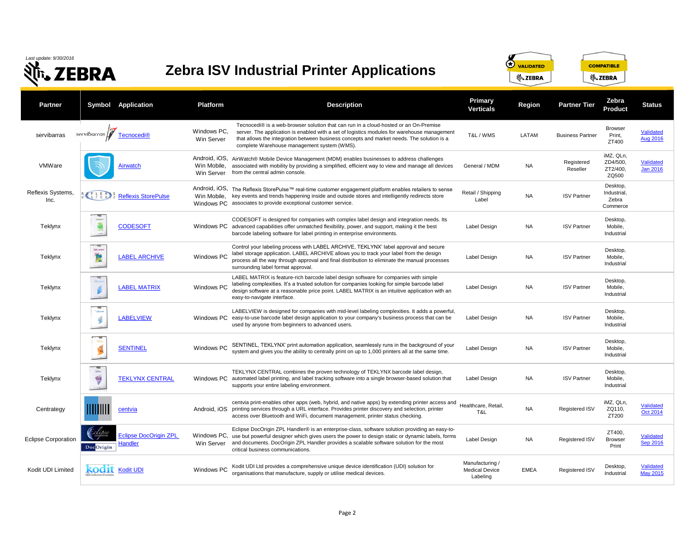*Last update: 9/30/2016*

**Nr.** ZEBRA

**Zebra ISV Industrial Printer Applications**



## **Partner Symbol Application Platform Description Primary Verticals Reg** Tecnocedi® is a web-browser solution that can run in a cloud-hosted or an On-Premise servibarras *servibarras* **[Tecnocedi®](http://www.servibarras.com/web/multimedia/index56.html)** Windows PC, server. The application is enabled with a set of logistics modules for warehouse management T&L / WMS LAT that allows the integration between business concepts and market needs. The solution is a Win Server complete Warehouse management system (WMS). Android, iOS, AirWatch® Mobile Device Management (MDM) enables businesses to address challenges VMWare **[Airwatch](http://www.air-watch.com/)** General / MDM N Win Mobile, associated with mobility by providing a simplified, efficient way to view and manage all devices Win Server from the central admin console. Android, iOS, The Reflexis StorePulse™ real-time customer engagement platform enables retailers to sense Reflexis Systems, Retail / Shipping S Systems, **Reflexis** [Reflexis StorePulse](http://www.reflexisinc.com/solutions/storepulse/) Win Mobile, key events and trends happening inside and outside stores and intelligently redirects store Windows PC associates to provide exceptional customer service. CODESOFT is designed for companies with complex label design and integration needs. Its Teklynx <u>[CODESOFT](http://www.teklynx.com/en/products/label-design-solutions/codesoft)</u> Windows PC advanced capabilities offer unmatched flexibility, power, and support, making it the best Label Design N. barcode labeling software for label printing in enterprise environments. Control your labeling process with LABEL ARCHIVE, TEKLYNX' label approval and secure LABIL ARCH label storage application. LABEL ARCHIVE allows you to track your label from the design Teklynx | **EX** [LABEL ARCHIVE](http://www.teklynx.com/en/products/enterprise-label-management-solutions/label-archive) Windows PC Label Design N. process all the way through approval and final distribution to eliminate the manual processes surrounding label format approval. LABEL MATRIX is feature-rich barcode label design software for companies with simple labeling complexities. It's a trusted solution for companies looking for simple barcode label Teklynx | **[LABEL MATRIX](http://www.teklynx.com/en/products/label-design-solutions/label-matrix)** Windows PC Label Design N design software at a reasonable price point. LABEL MATRIX is an intuitive application with an easy-to-navigate interface. LABELVIEW is designed for companies with mid-level labeling complexities. It adds a powerful, Label Design N Teklynx <u>[LABELVIEW](http://www.teklynx.com/en/products/label-design-solutions/labelview)</u> Windows PC easy-to-use barcode label design application to your company's business process that can be used by anyone from beginners to advanced users. Teklynx [SENTINEL](http://www.teklynx.com/en/products/enterprise-label-management-solutions/sentinel) SENTINEL Windows PC SENTINEL, TEKLYNX' print automation application, seamlessly runs in the background of your<br>SENTINEL SENTINEL Sustem and gives you the ability to centrally print on up to 1,000 printers system and gives you the ability to centrally print on up to 1,000 printers all at the same time. Label Design Label Design N. **R TENTES** TEKLYNX CENTRAL combines the proven technology of TEKLYNX barcode label design, Teklynx | [TEKLYNX CENTRAL](http://www.teklynx.com/en/products/enterprise-label-management-solutions/teklynx-central) Windows PC automated label printing, and label tracking software into a single browser-based solution that Label Design NA supports your entire labeling environment. centvia print-enables other apps (web, hybrid, and native apps) by extending printer access and Healthcare, Retail, Centrategy **Centrick** Controller Centvia Centria android, iOS printing services through a URL interface. Provides printer discovery and selection, printer access over Bluetooth and WiFi, document management, printer status checking. Eclipse DocOrigin ZPL Handler® is an enterprise-class, software solution providing an easy-to-Eclipse Corporation **Eclipse DocOrigin ZPL** Windows PC, use but powerful designer which gives users the power to design static or dynamic labels, forms Label Design N and documents. DocOrigin ZPL Handler provides a scalable software solution for the most **[Handler](http://eclipsecorp.us/products/docorigin.html)** Win Server DocOrigin critical business communications. Manufacturing / [Kodit UDI](http://www.kodit.com/) Ltd provides a comprehensive unique device identification (UDI) solution for<br>Kodit UDI Windows PC exercisation that manufacture curals a value and device identification (UDI) solution for Medical Device organisations that manufacture, supply or utilise medical devices. Labeling

| <u>rimary</u><br>erticals            | <b>Region</b> | <b>Partner Tier</b>     | Zebra<br><b>Product</b>                      | <b>Status</b>                |
|--------------------------------------|---------------|-------------------------|----------------------------------------------|------------------------------|
| L/WMS                                | LATAM         | <b>Business Partner</b> | Browser<br>Print,<br>ZT400                   | Validated<br>Aug 2016        |
| eral / MDM                           | <b>NA</b>     | Registered<br>Reseller  | iMZ, QLn,<br>ZD4/500,<br>ZT2/400,<br>ZQ500   | Validated<br>Jan 2016        |
| I / Shipping<br>Label                | <b>NA</b>     | <b>ISV Partner</b>      | Desktop,<br>Industrial,<br>Zebra<br>Commerce |                              |
| el Design                            | NA            | <b>ISV Partner</b>      | Desktop,<br>Mobile,<br>Industrial            |                              |
| el Design                            | <b>NA</b>     | <b>ISV Partner</b>      | Desktop,<br>Mobile,<br>Industrial            |                              |
| el Design                            | <b>NA</b>     | <b>ISV Partner</b>      | Desktop,<br>Mobile,<br>Industrial            |                              |
| el Design                            | <b>NA</b>     | <b>ISV Partner</b>      | Desktop,<br>Mobile,<br>Industrial            |                              |
| el Design                            | <b>NA</b>     | <b>ISV Partner</b>      | Desktop,<br>Mobile,<br>Industrial            |                              |
| el Design                            | <b>NA</b>     | <b>ISV Partner</b>      | Desktop,<br>Mobile,<br>Industrial            |                              |
| care, Retail,<br>T&L                 | NA            | Registered ISV          | iMZ, QLn,<br>ZQ110,<br>ZT200                 | Validated<br>Oct 2014        |
| el Design                            | NA            | Registered ISV          | ZT400,<br><b>Browser</b><br>Print            | Validated<br><b>Sep 2016</b> |
| / facturing<br>cal Device<br>abeling | EMEA          | Registered ISV          | Desktop,<br>Industrial                       | Validated<br><b>May 2015</b> |